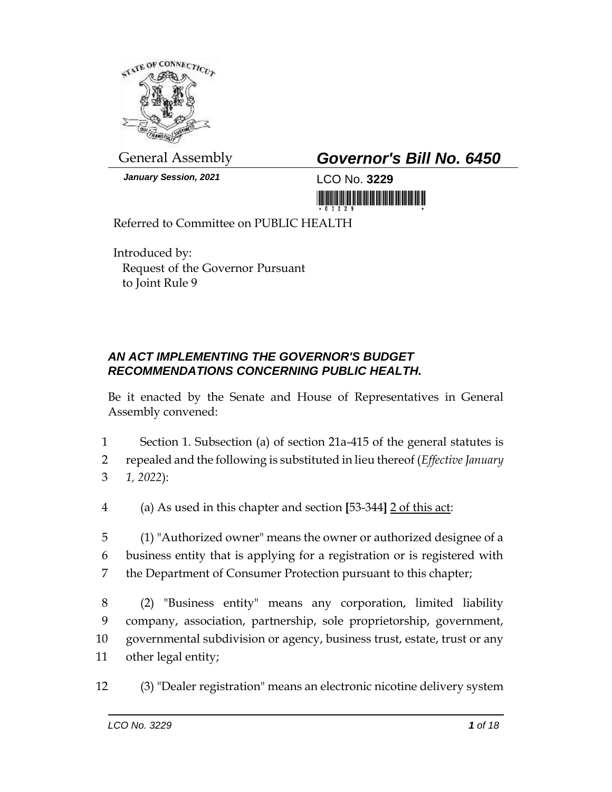

*January Session, 2021* LCO No. **3229**

## General Assembly *Governor's Bill No. 6450*

<u> III populație de la Bondalul III de la Bondalul III de la Bondalul III de la Bondalul III de la Bondalul III </u>

Referred to Committee on PUBLIC HEALTH

Introduced by: Request of the Governor Pursuant to Joint Rule 9

## *AN ACT IMPLEMENTING THE GOVERNOR'S BUDGET RECOMMENDATIONS CONCERNING PUBLIC HEALTH.*

Be it enacted by the Senate and House of Representatives in General Assembly convened:

1 Section 1. Subsection (a) of section 21a-415 of the general statutes is

2 repealed and the following is substituted in lieu thereof (*Effective January*  3 *1, 2022*):

4 (a) As used in this chapter and section **[**53-344**]** 2 of this act:

5 (1) "Authorized owner" means the owner or authorized designee of a 6 business entity that is applying for a registration or is registered with 7 the Department of Consumer Protection pursuant to this chapter;

 (2) "Business entity" means any corporation, limited liability company, association, partnership, sole proprietorship, government, governmental subdivision or agency, business trust, estate, trust or any other legal entity;

12 (3) "Dealer registration" means an electronic nicotine delivery system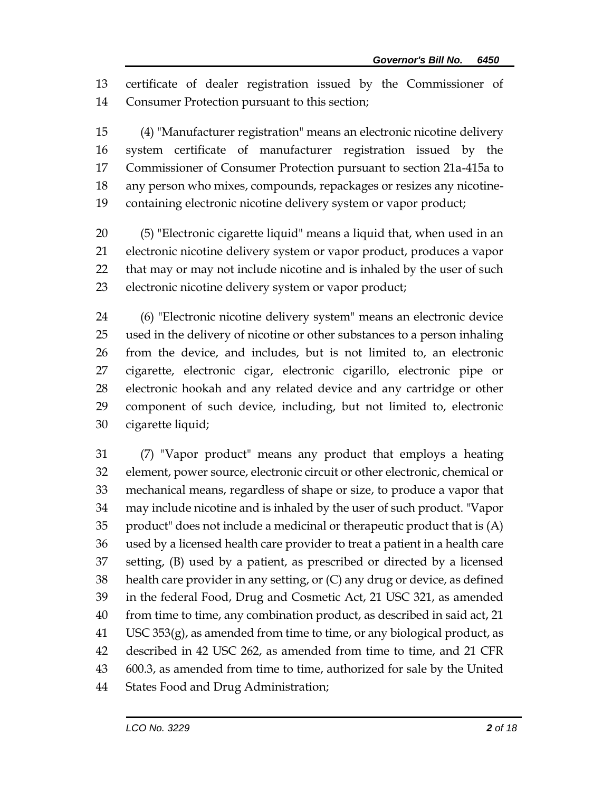certificate of dealer registration issued by the Commissioner of Consumer Protection pursuant to this section;

 (4) "Manufacturer registration" means an electronic nicotine delivery system certificate of manufacturer registration issued by the Commissioner of Consumer Protection pursuant to section 21a-415a to any person who mixes, compounds, repackages or resizes any nicotine-containing electronic nicotine delivery system or vapor product;

 (5) "Electronic cigarette liquid" means a liquid that, when used in an electronic nicotine delivery system or vapor product, produces a vapor that may or may not include nicotine and is inhaled by the user of such electronic nicotine delivery system or vapor product;

 (6) "Electronic nicotine delivery system" means an electronic device used in the delivery of nicotine or other substances to a person inhaling from the device, and includes, but is not limited to, an electronic cigarette, electronic cigar, electronic cigarillo, electronic pipe or electronic hookah and any related device and any cartridge or other component of such device, including, but not limited to, electronic cigarette liquid;

 (7) "Vapor product" means any product that employs a heating element, power source, electronic circuit or other electronic, chemical or mechanical means, regardless of shape or size, to produce a vapor that may include nicotine and is inhaled by the user of such product. "Vapor product" does not include a medicinal or therapeutic product that is (A) used by a licensed health care provider to treat a patient in a health care setting, (B) used by a patient, as prescribed or directed by a licensed health care provider in any setting, or (C) any drug or device, as defined in the federal Food, Drug and Cosmetic Act, 21 USC 321, as amended from time to time, any combination product, as described in said act, 21 USC 353 $(g)$ , as amended from time to time, or any biological product, as described in 42 USC 262, as amended from time to time, and 21 CFR 600.3, as amended from time to time, authorized for sale by the United States Food and Drug Administration;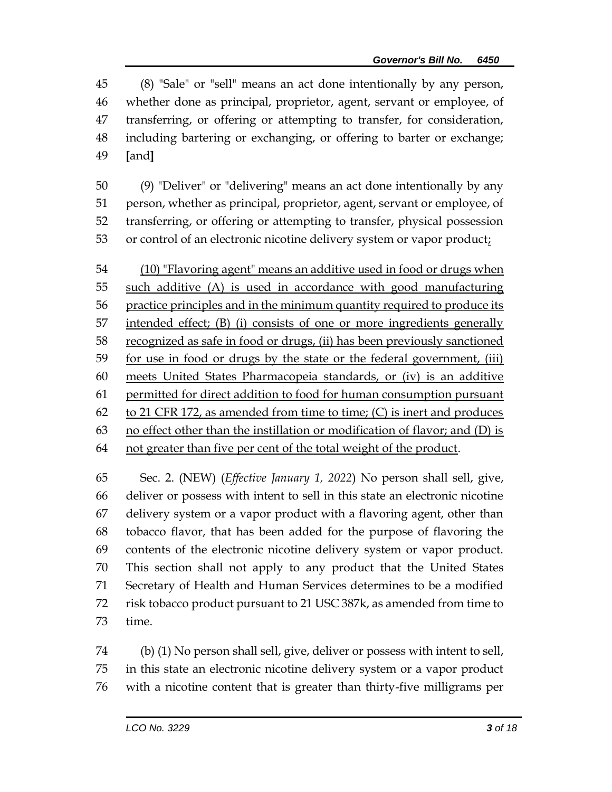(8) "Sale" or "sell" means an act done intentionally by any person, whether done as principal, proprietor, agent, servant or employee, of transferring, or offering or attempting to transfer, for consideration, including bartering or exchanging, or offering to barter or exchange; **[**and**]**

 (9) "Deliver" or "delivering" means an act done intentionally by any person, whether as principal, proprietor, agent, servant or employee, of transferring, or offering or attempting to transfer, physical possession 53 or control of an electronic nicotine delivery system or vapor product;

 (10) "Flavoring agent" means an additive used in food or drugs when such additive (A) is used in accordance with good manufacturing practice principles and in the minimum quantity required to produce its intended effect; (B) (i) consists of one or more ingredients generally recognized as safe in food or drugs, (ii) has been previously sanctioned for use in food or drugs by the state or the federal government, (iii) meets United States Pharmacopeia standards, or (iv) is an additive permitted for direct addition to food for human consumption pursuant 62 to 21 CFR 172, as amended from time to time;  $(C)$  is inert and produces no effect other than the instillation or modification of flavor; and (D) is not greater than five per cent of the total weight of the product.

 Sec. 2. (NEW) (*Effective January 1, 2022*) No person shall sell, give, deliver or possess with intent to sell in this state an electronic nicotine delivery system or a vapor product with a flavoring agent, other than tobacco flavor, that has been added for the purpose of flavoring the contents of the electronic nicotine delivery system or vapor product. This section shall not apply to any product that the United States Secretary of Health and Human Services determines to be a modified risk tobacco product pursuant to 21 USC 387k, as amended from time to time.

 (b) (1) No person shall sell, give, deliver or possess with intent to sell, in this state an electronic nicotine delivery system or a vapor product with a nicotine content that is greater than thirty-five milligrams per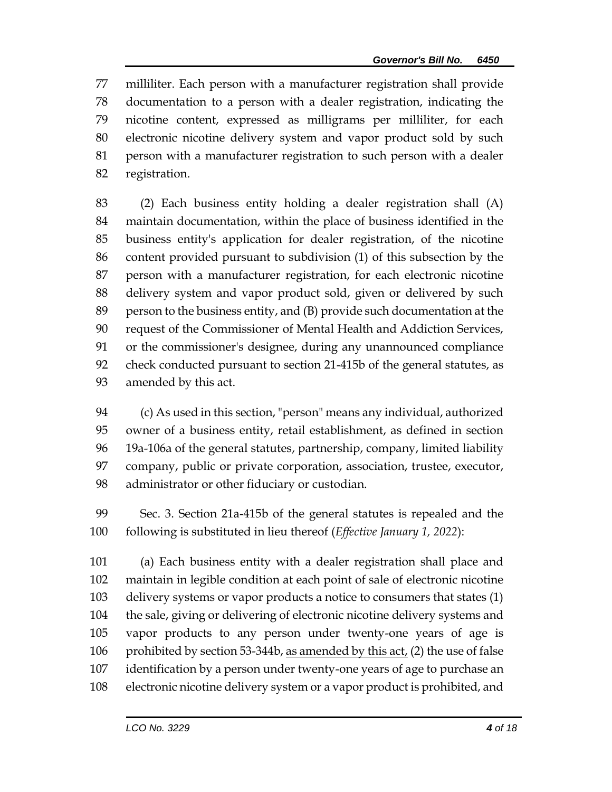milliliter. Each person with a manufacturer registration shall provide documentation to a person with a dealer registration, indicating the nicotine content, expressed as milligrams per milliliter, for each electronic nicotine delivery system and vapor product sold by such person with a manufacturer registration to such person with a dealer registration.

 (2) Each business entity holding a dealer registration shall (A) maintain documentation, within the place of business identified in the business entity's application for dealer registration, of the nicotine content provided pursuant to subdivision (1) of this subsection by the person with a manufacturer registration, for each electronic nicotine delivery system and vapor product sold, given or delivered by such person to the business entity, and (B) provide such documentation at the request of the Commissioner of Mental Health and Addiction Services, or the commissioner's designee, during any unannounced compliance check conducted pursuant to section 21-415b of the general statutes, as amended by this act.

 (c) As used in this section, "person" means any individual, authorized owner of a business entity, retail establishment, as defined in section 19a-106a of the general statutes, partnership, company, limited liability company, public or private corporation, association, trustee, executor, administrator or other fiduciary or custodian.

 Sec. 3. Section 21a-415b of the general statutes is repealed and the following is substituted in lieu thereof (*Effective January 1, 2022*):

 (a) Each business entity with a dealer registration shall place and maintain in legible condition at each point of sale of electronic nicotine delivery systems or vapor products a notice to consumers that states (1) the sale, giving or delivering of electronic nicotine delivery systems and vapor products to any person under twenty-one years of age is 106 prohibited by section 53-344b, <u>as amended by this act</u>, (2) the use of false identification by a person under twenty-one years of age to purchase an electronic nicotine delivery system or a vapor product is prohibited, and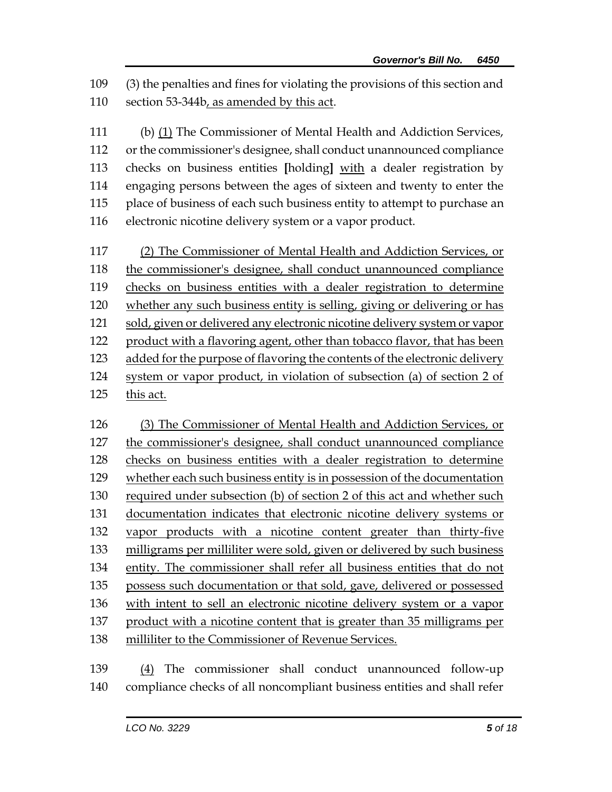(3) the penalties and fines for violating the provisions of this section and section 53-344b, as amended by this act.

 (b) (1) The Commissioner of Mental Health and Addiction Services, or the commissioner's designee, shall conduct unannounced compliance checks on business entities **[**holding**]** with a dealer registration by engaging persons between the ages of sixteen and twenty to enter the place of business of each such business entity to attempt to purchase an electronic nicotine delivery system or a vapor product.

 (2) The Commissioner of Mental Health and Addiction Services, or the commissioner's designee, shall conduct unannounced compliance checks on business entities with a dealer registration to determine whether any such business entity is selling, giving or delivering or has sold, given or delivered any electronic nicotine delivery system or vapor product with a flavoring agent, other than tobacco flavor, that has been added for the purpose of flavoring the contents of the electronic delivery system or vapor product, in violation of subsection (a) of section 2 of this act.

 (3) The Commissioner of Mental Health and Addiction Services, or the commissioner's designee, shall conduct unannounced compliance checks on business entities with a dealer registration to determine 129 whether each such business entity is in possession of the documentation required under subsection (b) of section 2 of this act and whether such documentation indicates that electronic nicotine delivery systems or vapor products with a nicotine content greater than thirty-five milligrams per milliliter were sold, given or delivered by such business entity. The commissioner shall refer all business entities that do not possess such documentation or that sold, gave, delivered or possessed with intent to sell an electronic nicotine delivery system or a vapor product with a nicotine content that is greater than 35 milligrams per milliliter to the Commissioner of Revenue Services.

 (4) The commissioner shall conduct unannounced follow-up compliance checks of all noncompliant business entities and shall refer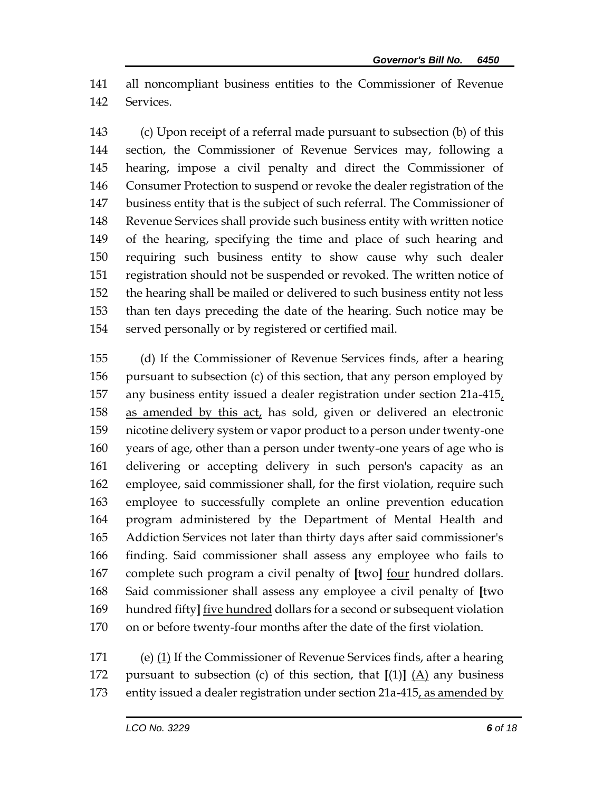all noncompliant business entities to the Commissioner of Revenue Services.

 (c) Upon receipt of a referral made pursuant to subsection (b) of this section, the Commissioner of Revenue Services may, following a hearing, impose a civil penalty and direct the Commissioner of Consumer Protection to suspend or revoke the dealer registration of the business entity that is the subject of such referral. The Commissioner of Revenue Services shall provide such business entity with written notice of the hearing, specifying the time and place of such hearing and requiring such business entity to show cause why such dealer registration should not be suspended or revoked. The written notice of the hearing shall be mailed or delivered to such business entity not less than ten days preceding the date of the hearing. Such notice may be served personally or by registered or certified mail.

 (d) If the Commissioner of Revenue Services finds, after a hearing pursuant to subsection (c) of this section, that any person employed by any business entity issued a dealer registration under section 21a-415, as amended by this act, has sold, given or delivered an electronic nicotine delivery system or vapor product to a person under twenty-one years of age, other than a person under twenty-one years of age who is delivering or accepting delivery in such person's capacity as an employee, said commissioner shall, for the first violation, require such employee to successfully complete an online prevention education program administered by the Department of Mental Health and Addiction Services not later than thirty days after said commissioner's finding. Said commissioner shall assess any employee who fails to complete such program a civil penalty of **[**two**]** four hundred dollars. Said commissioner shall assess any employee a civil penalty of **[**two hundred fifty**]** five hundred dollars for a second or subsequent violation on or before twenty-four months after the date of the first violation.

 (e) (1) If the Commissioner of Revenue Services finds, after a hearing pursuant to subsection (c) of this section, that **[**(1)**]** (A) any business entity issued a dealer registration under section 21a-415, as amended by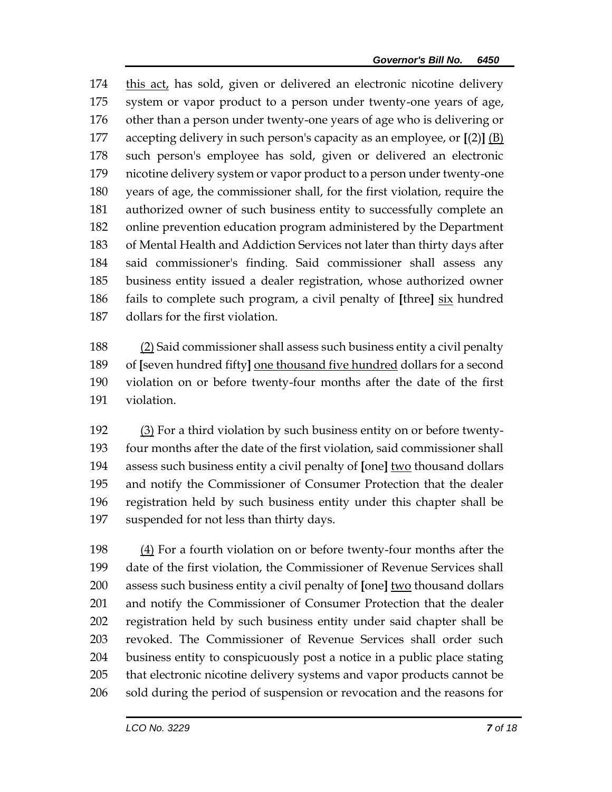this act, has sold, given or delivered an electronic nicotine delivery system or vapor product to a person under twenty-one years of age, other than a person under twenty-one years of age who is delivering or accepting delivery in such person's capacity as an employee, or **[**(2)**]** (B) such person's employee has sold, given or delivered an electronic nicotine delivery system or vapor product to a person under twenty-one years of age, the commissioner shall, for the first violation, require the authorized owner of such business entity to successfully complete an online prevention education program administered by the Department of Mental Health and Addiction Services not later than thirty days after said commissioner's finding. Said commissioner shall assess any business entity issued a dealer registration, whose authorized owner fails to complete such program, a civil penalty of **[**three**]** six hundred dollars for the first violation.

 (2) Said commissioner shall assess such business entity a civil penalty of **[**seven hundred fifty**]** one thousand five hundred dollars for a second violation on or before twenty-four months after the date of the first violation.

 (3) For a third violation by such business entity on or before twenty- four months after the date of the first violation, said commissioner shall assess such business entity a civil penalty of **[**one**]** two thousand dollars and notify the Commissioner of Consumer Protection that the dealer registration held by such business entity under this chapter shall be suspended for not less than thirty days.

 (4) For a fourth violation on or before twenty-four months after the date of the first violation, the Commissioner of Revenue Services shall assess such business entity a civil penalty of **[**one**]** two thousand dollars and notify the Commissioner of Consumer Protection that the dealer registration held by such business entity under said chapter shall be revoked. The Commissioner of Revenue Services shall order such business entity to conspicuously post a notice in a public place stating that electronic nicotine delivery systems and vapor products cannot be sold during the period of suspension or revocation and the reasons for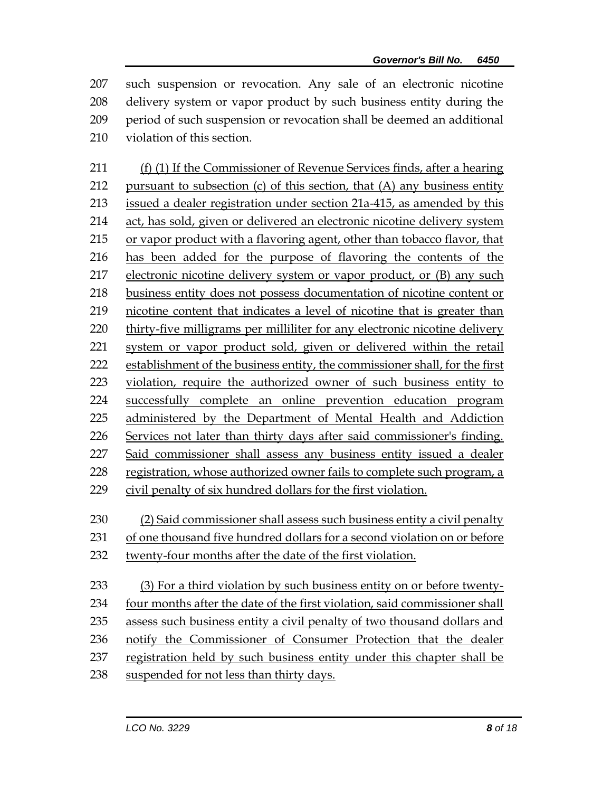such suspension or revocation. Any sale of an electronic nicotine delivery system or vapor product by such business entity during the period of such suspension or revocation shall be deemed an additional violation of this section.

 (f) (1) If the Commissioner of Revenue Services finds, after a hearing 212 pursuant to subsection  $(c)$  of this section, that  $(A)$  any business entity issued a dealer registration under section 21a-415, as amended by this act, has sold, given or delivered an electronic nicotine delivery system or vapor product with a flavoring agent, other than tobacco flavor, that has been added for the purpose of flavoring the contents of the 217 electronic nicotine delivery system or vapor product, or (B) any such business entity does not possess documentation of nicotine content or nicotine content that indicates a level of nicotine that is greater than thirty-five milligrams per milliliter for any electronic nicotine delivery system or vapor product sold, given or delivered within the retail establishment of the business entity, the commissioner shall, for the first violation, require the authorized owner of such business entity to successfully complete an online prevention education program administered by the Department of Mental Health and Addiction Services not later than thirty days after said commissioner's finding. Said commissioner shall assess any business entity issued a dealer registration, whose authorized owner fails to complete such program, a civil penalty of six hundred dollars for the first violation.

- (2) Said commissioner shall assess such business entity a civil penalty
- of one thousand five hundred dollars for a second violation on or before
- twenty-four months after the date of the first violation.

 (3) For a third violation by such business entity on or before twenty- four months after the date of the first violation, said commissioner shall 235 assess such business entity a civil penalty of two thousand dollars and notify the Commissioner of Consumer Protection that the dealer registration held by such business entity under this chapter shall be suspended for not less than thirty days.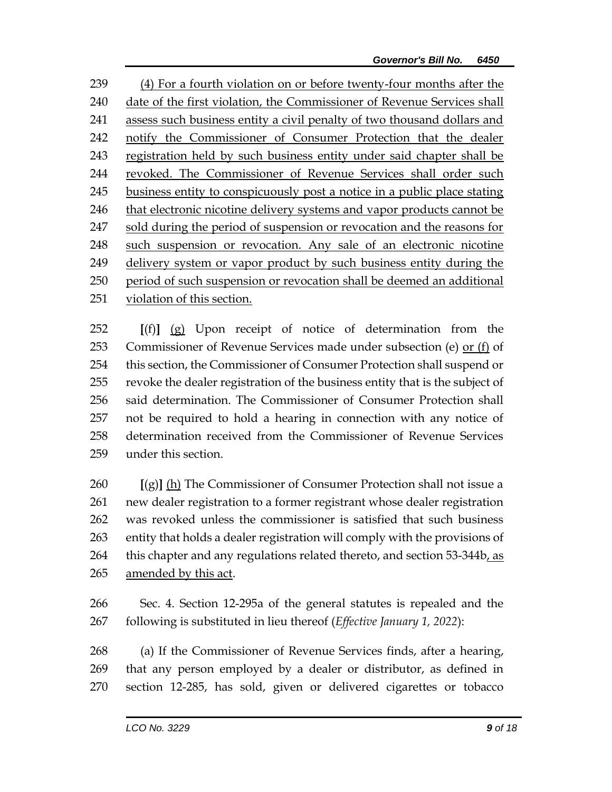(4) For a fourth violation on or before twenty-four months after the date of the first violation, the Commissioner of Revenue Services shall assess such business entity a civil penalty of two thousand dollars and notify the Commissioner of Consumer Protection that the dealer registration held by such business entity under said chapter shall be revoked. The Commissioner of Revenue Services shall order such business entity to conspicuously post a notice in a public place stating that electronic nicotine delivery systems and vapor products cannot be sold during the period of suspension or revocation and the reasons for such suspension or revocation. Any sale of an electronic nicotine delivery system or vapor product by such business entity during the period of such suspension or revocation shall be deemed an additional violation of this section.

 **[**(f)**]** (g) Upon receipt of notice of determination from the Commissioner of Revenue Services made under subsection (e) or (f) of this section, the Commissioner of Consumer Protection shall suspend or revoke the dealer registration of the business entity that is the subject of said determination. The Commissioner of Consumer Protection shall not be required to hold a hearing in connection with any notice of determination received from the Commissioner of Revenue Services under this section.

 **[**(g)**]** (h) The Commissioner of Consumer Protection shall not issue a new dealer registration to a former registrant whose dealer registration was revoked unless the commissioner is satisfied that such business entity that holds a dealer registration will comply with the provisions of 264 this chapter and any regulations related thereto, and section 53-344b, as amended by this act.

 Sec. 4. Section 12-295a of the general statutes is repealed and the following is substituted in lieu thereof (*Effective January 1, 2022*):

 (a) If the Commissioner of Revenue Services finds, after a hearing, that any person employed by a dealer or distributor, as defined in section 12-285, has sold, given or delivered cigarettes or tobacco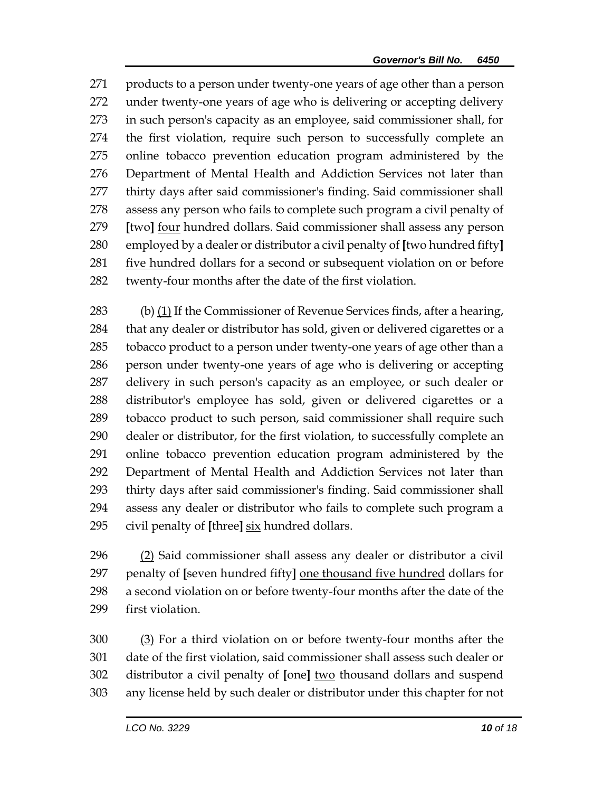products to a person under twenty-one years of age other than a person under twenty-one years of age who is delivering or accepting delivery in such person's capacity as an employee, said commissioner shall, for the first violation, require such person to successfully complete an online tobacco prevention education program administered by the Department of Mental Health and Addiction Services not later than thirty days after said commissioner's finding. Said commissioner shall assess any person who fails to complete such program a civil penalty of **[**two**]** four hundred dollars. Said commissioner shall assess any person employed by a dealer or distributor a civil penalty of **[**two hundred fifty**]** 281 five hundred dollars for a second or subsequent violation on or before twenty-four months after the date of the first violation.

 (b) (1) If the Commissioner of Revenue Services finds, after a hearing, that any dealer or distributor has sold, given or delivered cigarettes or a tobacco product to a person under twenty-one years of age other than a person under twenty-one years of age who is delivering or accepting delivery in such person's capacity as an employee, or such dealer or distributor's employee has sold, given or delivered cigarettes or a tobacco product to such person, said commissioner shall require such dealer or distributor, for the first violation, to successfully complete an online tobacco prevention education program administered by the Department of Mental Health and Addiction Services not later than thirty days after said commissioner's finding. Said commissioner shall assess any dealer or distributor who fails to complete such program a civil penalty of **[**three**]** six hundred dollars.

 (2) Said commissioner shall assess any dealer or distributor a civil penalty of **[**seven hundred fifty**]** one thousand five hundred dollars for a second violation on or before twenty-four months after the date of the first violation.

 (3) For a third violation on or before twenty-four months after the date of the first violation, said commissioner shall assess such dealer or distributor a civil penalty of **[**one**]** two thousand dollars and suspend any license held by such dealer or distributor under this chapter for not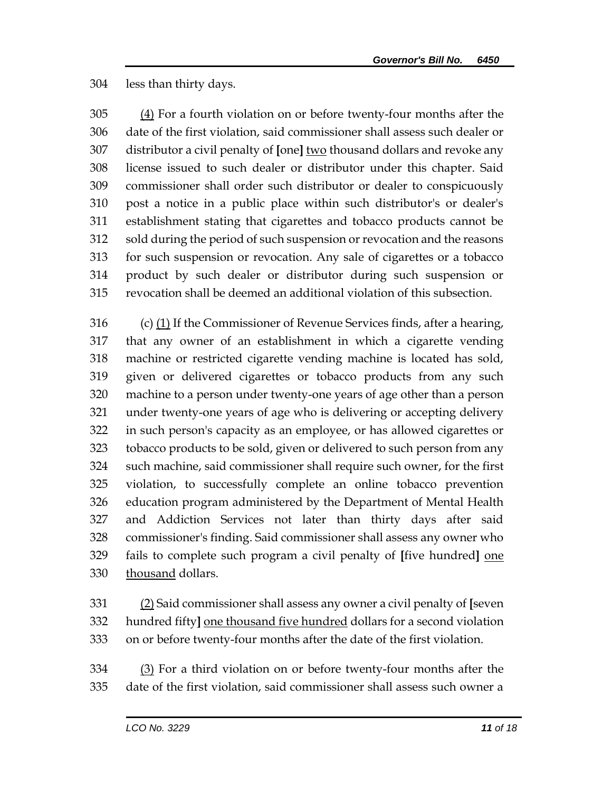less than thirty days.

305 (4) For a fourth violation on or before twenty-four months after the date of the first violation, said commissioner shall assess such dealer or distributor a civil penalty of **[**one**]** two thousand dollars and revoke any license issued to such dealer or distributor under this chapter. Said commissioner shall order such distributor or dealer to conspicuously post a notice in a public place within such distributor's or dealer's establishment stating that cigarettes and tobacco products cannot be sold during the period of such suspension or revocation and the reasons for such suspension or revocation. Any sale of cigarettes or a tobacco product by such dealer or distributor during such suspension or revocation shall be deemed an additional violation of this subsection.

 (c) (1) If the Commissioner of Revenue Services finds, after a hearing, that any owner of an establishment in which a cigarette vending machine or restricted cigarette vending machine is located has sold, given or delivered cigarettes or tobacco products from any such machine to a person under twenty-one years of age other than a person under twenty-one years of age who is delivering or accepting delivery in such person's capacity as an employee, or has allowed cigarettes or tobacco products to be sold, given or delivered to such person from any such machine, said commissioner shall require such owner, for the first violation, to successfully complete an online tobacco prevention education program administered by the Department of Mental Health and Addiction Services not later than thirty days after said commissioner's finding. Said commissioner shall assess any owner who fails to complete such program a civil penalty of **[**five hundred**]** one thousand dollars.

 (2) Said commissioner shall assess any owner a civil penalty of **[**seven hundred fifty**]** one thousand five hundred dollars for a second violation on or before twenty-four months after the date of the first violation.

 (3) For a third violation on or before twenty-four months after the date of the first violation, said commissioner shall assess such owner a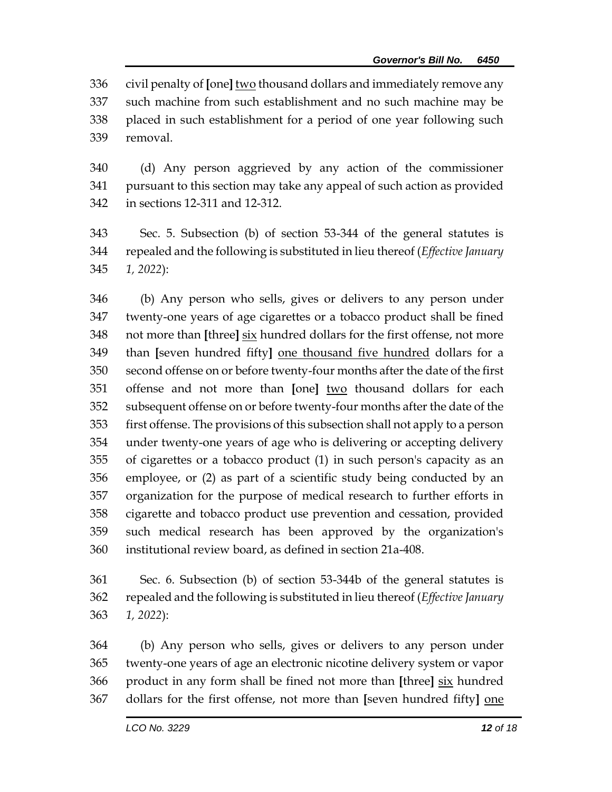civil penalty of **[**one**]** two thousand dollars and immediately remove any such machine from such establishment and no such machine may be placed in such establishment for a period of one year following such removal.

 (d) Any person aggrieved by any action of the commissioner pursuant to this section may take any appeal of such action as provided in sections 12-311 and 12-312.

 Sec. 5. Subsection (b) of section 53-344 of the general statutes is repealed and the following is substituted in lieu thereof (*Effective January 1, 2022*):

 (b) Any person who sells, gives or delivers to any person under twenty-one years of age cigarettes or a tobacco product shall be fined not more than **[**three**]** six hundred dollars for the first offense, not more than **[**seven hundred fifty**]** one thousand five hundred dollars for a second offense on or before twenty-four months after the date of the first offense and not more than **[**one**]** two thousand dollars for each subsequent offense on or before twenty-four months after the date of the first offense. The provisions of this subsection shall not apply to a person under twenty-one years of age who is delivering or accepting delivery of cigarettes or a tobacco product (1) in such person's capacity as an employee, or (2) as part of a scientific study being conducted by an organization for the purpose of medical research to further efforts in cigarette and tobacco product use prevention and cessation, provided such medical research has been approved by the organization's institutional review board, as defined in section 21a-408.

 Sec. 6. Subsection (b) of section 53-344b of the general statutes is repealed and the following is substituted in lieu thereof (*Effective January 1, 2022*):

 (b) Any person who sells, gives or delivers to any person under twenty-one years of age an electronic nicotine delivery system or vapor product in any form shall be fined not more than **[**three**]** six hundred dollars for the first offense, not more than **[**seven hundred fifty**]** one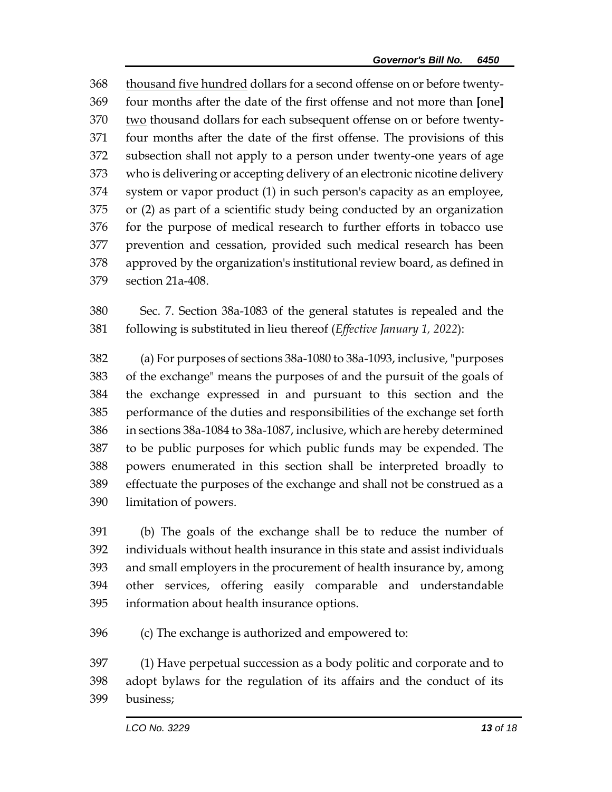thousand five hundred dollars for a second offense on or before twenty- four months after the date of the first offense and not more than **[**one**]** two thousand dollars for each subsequent offense on or before twenty- four months after the date of the first offense. The provisions of this subsection shall not apply to a person under twenty-one years of age who is delivering or accepting delivery of an electronic nicotine delivery system or vapor product (1) in such person's capacity as an employee, or (2) as part of a scientific study being conducted by an organization for the purpose of medical research to further efforts in tobacco use prevention and cessation, provided such medical research has been approved by the organization's institutional review board, as defined in section 21a-408.

 Sec. 7. Section 38a-1083 of the general statutes is repealed and the following is substituted in lieu thereof (*Effective January 1, 2022*):

 (a) For purposes of sections 38a-1080 to 38a-1093, inclusive, "purposes of the exchange" means the purposes of and the pursuit of the goals of the exchange expressed in and pursuant to this section and the performance of the duties and responsibilities of the exchange set forth in sections 38a-1084 to 38a-1087, inclusive, which are hereby determined to be public purposes for which public funds may be expended. The powers enumerated in this section shall be interpreted broadly to effectuate the purposes of the exchange and shall not be construed as a limitation of powers.

 (b) The goals of the exchange shall be to reduce the number of individuals without health insurance in this state and assist individuals and small employers in the procurement of health insurance by, among other services, offering easily comparable and understandable information about health insurance options.

(c) The exchange is authorized and empowered to:

 (1) Have perpetual succession as a body politic and corporate and to adopt bylaws for the regulation of its affairs and the conduct of its business;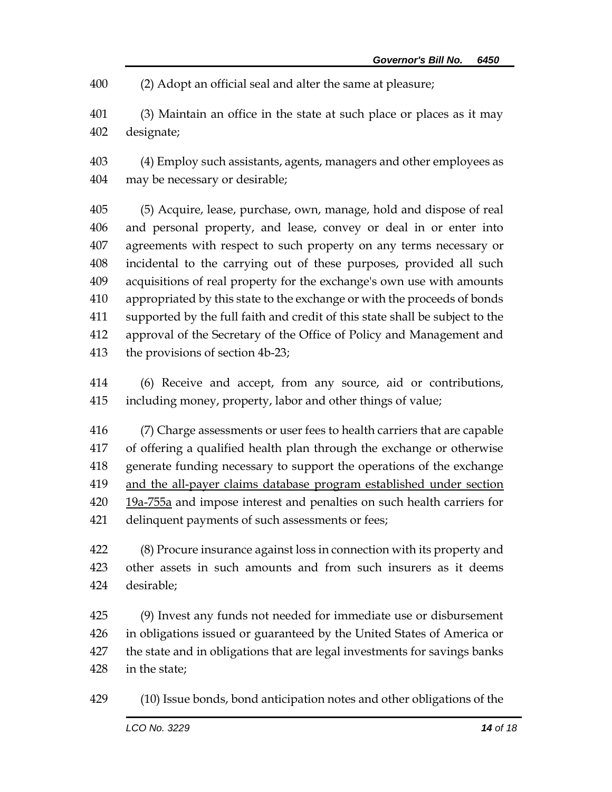(2) Adopt an official seal and alter the same at pleasure;

 (3) Maintain an office in the state at such place or places as it may designate;

 (4) Employ such assistants, agents, managers and other employees as may be necessary or desirable;

 (5) Acquire, lease, purchase, own, manage, hold and dispose of real and personal property, and lease, convey or deal in or enter into agreements with respect to such property on any terms necessary or incidental to the carrying out of these purposes, provided all such acquisitions of real property for the exchange's own use with amounts appropriated by this state to the exchange or with the proceeds of bonds supported by the full faith and credit of this state shall be subject to the approval of the Secretary of the Office of Policy and Management and the provisions of section 4b-23;

 (6) Receive and accept, from any source, aid or contributions, including money, property, labor and other things of value;

 (7) Charge assessments or user fees to health carriers that are capable of offering a qualified health plan through the exchange or otherwise generate funding necessary to support the operations of the exchange and the all-payer claims database program established under section 420 19a-755a and impose interest and penalties on such health carriers for delinquent payments of such assessments or fees;

 (8) Procure insurance against loss in connection with its property and other assets in such amounts and from such insurers as it deems desirable;

 (9) Invest any funds not needed for immediate use or disbursement in obligations issued or guaranteed by the United States of America or the state and in obligations that are legal investments for savings banks in the state;

(10) Issue bonds, bond anticipation notes and other obligations of the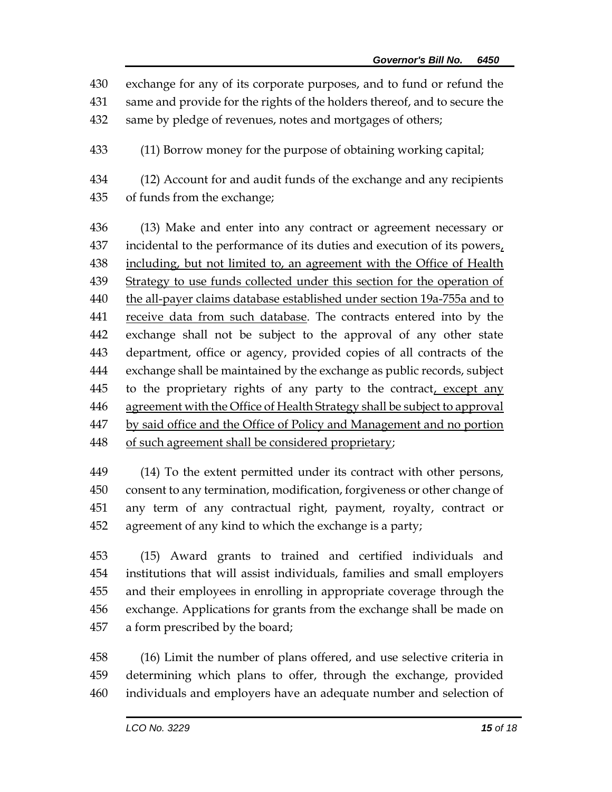exchange for any of its corporate purposes, and to fund or refund the

same and provide for the rights of the holders thereof, and to secure the

same by pledge of revenues, notes and mortgages of others;

(11) Borrow money for the purpose of obtaining working capital;

 (12) Account for and audit funds of the exchange and any recipients of funds from the exchange;

 (13) Make and enter into any contract or agreement necessary or 437 incidental to the performance of its duties and execution of its powers, 438 including, but not limited to, an agreement with the Office of Health Strategy to use funds collected under this section for the operation of the all-payer claims database established under section 19a-755a and to 441 receive data from such database. The contracts entered into by the exchange shall not be subject to the approval of any other state department, office or agency, provided copies of all contracts of the exchange shall be maintained by the exchange as public records, subject 445 to the proprietary rights of any party to the contract, except any 446 agreement with the Office of Health Strategy shall be subject to approval by said office and the Office of Policy and Management and no portion of such agreement shall be considered proprietary;

 (14) To the extent permitted under its contract with other persons, consent to any termination, modification, forgiveness or other change of any term of any contractual right, payment, royalty, contract or agreement of any kind to which the exchange is a party;

 (15) Award grants to trained and certified individuals and institutions that will assist individuals, families and small employers and their employees in enrolling in appropriate coverage through the exchange. Applications for grants from the exchange shall be made on a form prescribed by the board;

 (16) Limit the number of plans offered, and use selective criteria in determining which plans to offer, through the exchange, provided individuals and employers have an adequate number and selection of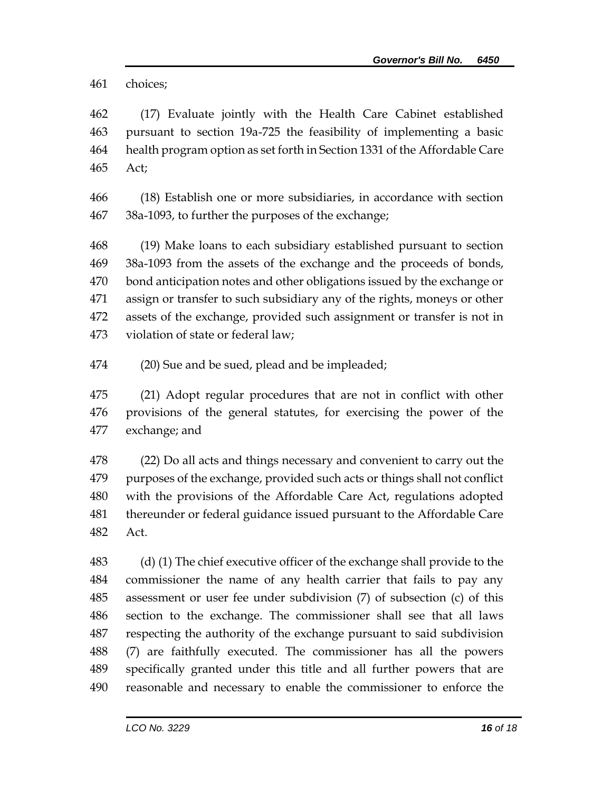choices;

 (17) Evaluate jointly with the Health Care Cabinet established pursuant to section 19a-725 the feasibility of implementing a basic health program option as set forth in Section 1331 of the Affordable Care Act;

 (18) Establish one or more subsidiaries, in accordance with section 38a-1093, to further the purposes of the exchange;

 (19) Make loans to each subsidiary established pursuant to section 38a-1093 from the assets of the exchange and the proceeds of bonds, bond anticipation notes and other obligations issued by the exchange or assign or transfer to such subsidiary any of the rights, moneys or other assets of the exchange, provided such assignment or transfer is not in violation of state or federal law;

(20) Sue and be sued, plead and be impleaded;

 (21) Adopt regular procedures that are not in conflict with other provisions of the general statutes, for exercising the power of the exchange; and

 (22) Do all acts and things necessary and convenient to carry out the purposes of the exchange, provided such acts or things shall not conflict with the provisions of the Affordable Care Act, regulations adopted thereunder or federal guidance issued pursuant to the Affordable Care Act.

 (d) (1) The chief executive officer of the exchange shall provide to the commissioner the name of any health carrier that fails to pay any assessment or user fee under subdivision (7) of subsection (c) of this section to the exchange. The commissioner shall see that all laws respecting the authority of the exchange pursuant to said subdivision (7) are faithfully executed. The commissioner has all the powers specifically granted under this title and all further powers that are reasonable and necessary to enable the commissioner to enforce the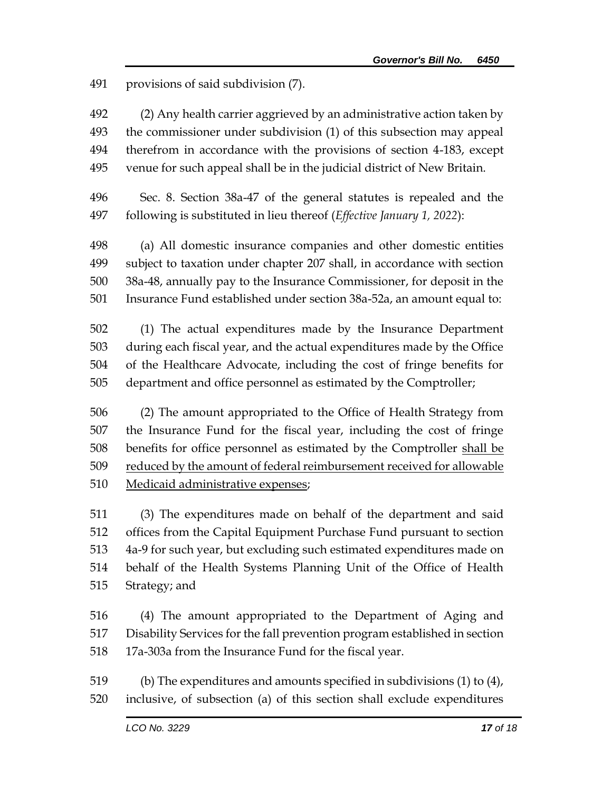provisions of said subdivision (7).

 (2) Any health carrier aggrieved by an administrative action taken by the commissioner under subdivision (1) of this subsection may appeal therefrom in accordance with the provisions of section 4-183, except venue for such appeal shall be in the judicial district of New Britain.

 Sec. 8. Section 38a-47 of the general statutes is repealed and the following is substituted in lieu thereof (*Effective January 1, 2022*):

 (a) All domestic insurance companies and other domestic entities subject to taxation under chapter 207 shall, in accordance with section 38a-48, annually pay to the Insurance Commissioner, for deposit in the Insurance Fund established under section 38a-52a, an amount equal to:

 (1) The actual expenditures made by the Insurance Department during each fiscal year, and the actual expenditures made by the Office of the Healthcare Advocate, including the cost of fringe benefits for department and office personnel as estimated by the Comptroller;

 (2) The amount appropriated to the Office of Health Strategy from the Insurance Fund for the fiscal year, including the cost of fringe benefits for office personnel as estimated by the Comptroller shall be reduced by the amount of federal reimbursement received for allowable Medicaid administrative expenses;

 (3) The expenditures made on behalf of the department and said offices from the Capital Equipment Purchase Fund pursuant to section 4a-9 for such year, but excluding such estimated expenditures made on behalf of the Health Systems Planning Unit of the Office of Health Strategy; and

 (4) The amount appropriated to the Department of Aging and Disability Services for the fall prevention program established in section 17a-303a from the Insurance Fund for the fiscal year.

 (b) The expenditures and amounts specified in subdivisions (1) to (4), inclusive, of subsection (a) of this section shall exclude expenditures